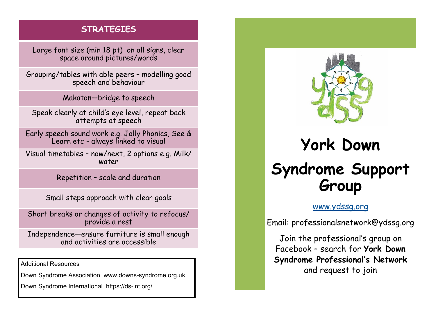## **STRATEGIES**

Large font size (min 18 pt) on all signs, clear space around pictures/words

Grouping/tables with able peers – modelling good speech and behaviour

Makaton—bridge to speech

Speak clearly at child's eye level, repeat back attempts at speech

Early speech sound work e.g. Jolly Phonics, See & Learn etc - always linked to visual

Visual timetables – now/next, 2 options e.g. Milk/ water

Repetition – scale and duration

Small steps approach with clear goals

Short breaks or changes of activity to refocus/ provide a rest

Independence—ensure furniture is small enough and activities are accessible

Additional Resources

Down Syndrome Association www.downs-syndrome.org.uk

Down Syndrome International https://ds-int.org/



# **York Down Syndrome Support Group**

### [www.ydssg.org](http://www.ydssg.org/)

Email: professionalsnetwork@ydssg.org

Join the professional's group on Facebook – search for **York Down Syndrome Professional's Network** and request to join